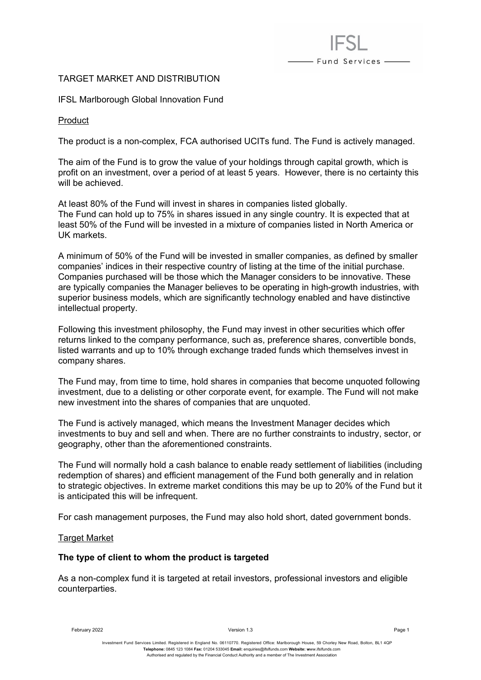# TARGET MARKET AND DISTRIBUTION

IFSL Marlborough Global Innovation Fund

Product

The product is a non-complex, FCA authorised UCITs fund. The Fund is actively managed.

- Fund Services -

The aim of the Fund is to grow the value of your holdings through capital growth, which is profit on an investment, over a period of at least 5 years. However, there is no certainty this will be achieved.

At least 80% of the Fund will invest in shares in companies listed globally. The Fund can hold up to 75% in shares issued in any single country. It is expected that at least 50% of the Fund will be invested in a mixture of companies listed in North America or UK markets.

A minimum of 50% of the Fund will be invested in smaller companies, as defined by smaller companies' indices in their respective country of listing at the time of the initial purchase. Companies purchased will be those which the Manager considers to be innovative. These are typically companies the Manager believes to be operating in high-growth industries, with superior business models, which are significantly technology enabled and have distinctive intellectual property.

Following this investment philosophy, the Fund may invest in other securities which offer returns linked to the company performance, such as, preference shares, convertible bonds, listed warrants and up to 10% through exchange traded funds which themselves invest in company shares.

The Fund may, from time to time, hold shares in companies that become unquoted following investment, due to a delisting or other corporate event, for example. The Fund will not make new investment into the shares of companies that are unquoted.

The Fund is actively managed, which means the Investment Manager decides which investments to buy and sell and when. There are no further constraints to industry, sector, or geography, other than the aforementioned constraints.

The Fund will normally hold a cash balance to enable ready settlement of liabilities (including redemption of shares) and efficient management of the Fund both generally and in relation to strategic objectives. In extreme market conditions this may be up to 20% of the Fund but it is anticipated this will be infrequent.

For cash management purposes, the Fund may also hold short, dated government bonds.

#### Target Market

### **The type of client to whom the product is targeted**

As a non-complex fund it is targeted at retail investors, professional investors and eligible counterparties.

February 2022 Version 1.3 Page 1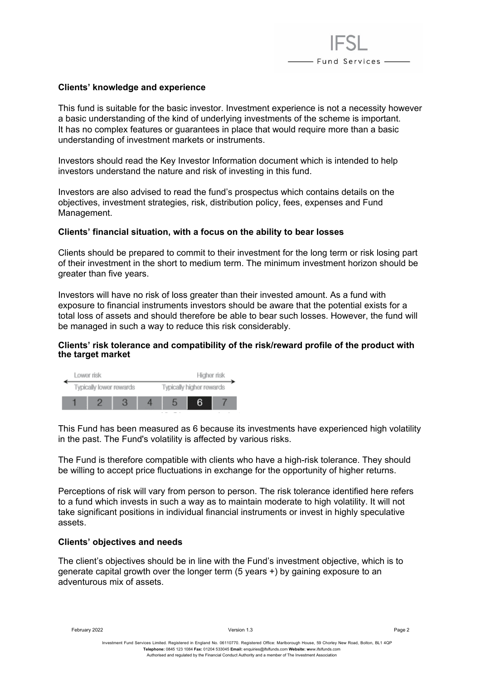This fund is suitable for the basic investor. Investment experience is not a necessity however a basic understanding of the kind of underlying investments of the scheme is important. It has no complex features or guarantees in place that would require more than a basic understanding of investment markets or instruments.

- Fund Services -

Investors should read the Key Investor Information document which is intended to help investors understand the nature and risk of investing in this fund.

Investors are also advised to read the fund's prospectus which contains details on the objectives, investment strategies, risk, distribution policy, fees, expenses and Fund Management.

## **Clients' financial situation, with a focus on the ability to bear losses**

Clients should be prepared to commit to their investment for the long term or risk losing part of their investment in the short to medium term. The minimum investment horizon should be greater than five years.

Investors will have no risk of loss greater than their invested amount. As a fund with exposure to financial instruments investors should be aware that the potential exists for a total loss of assets and should therefore be able to bear such losses. However, the fund will be managed in such a way to reduce this risk considerably.

## **Clients' risk tolerance and compatibility of the risk/reward profile of the product with the target market**



This Fund has been measured as 6 because its investments have experienced high volatility in the past. The Fund's volatility is affected by various risks.

The Fund is therefore compatible with clients who have a high-risk tolerance. They should be willing to accept price fluctuations in exchange for the opportunity of higher returns.

Perceptions of risk will vary from person to person. The risk tolerance identified here refers to a fund which invests in such a way as to maintain moderate to high volatility. It will not take significant positions in individual financial instruments or invest in highly speculative assets.

### **Clients' objectives and needs**

The client's objectives should be in line with the Fund's investment objective, which is to generate capital growth over the longer term (5 years +) by gaining exposure to an adventurous mix of assets.